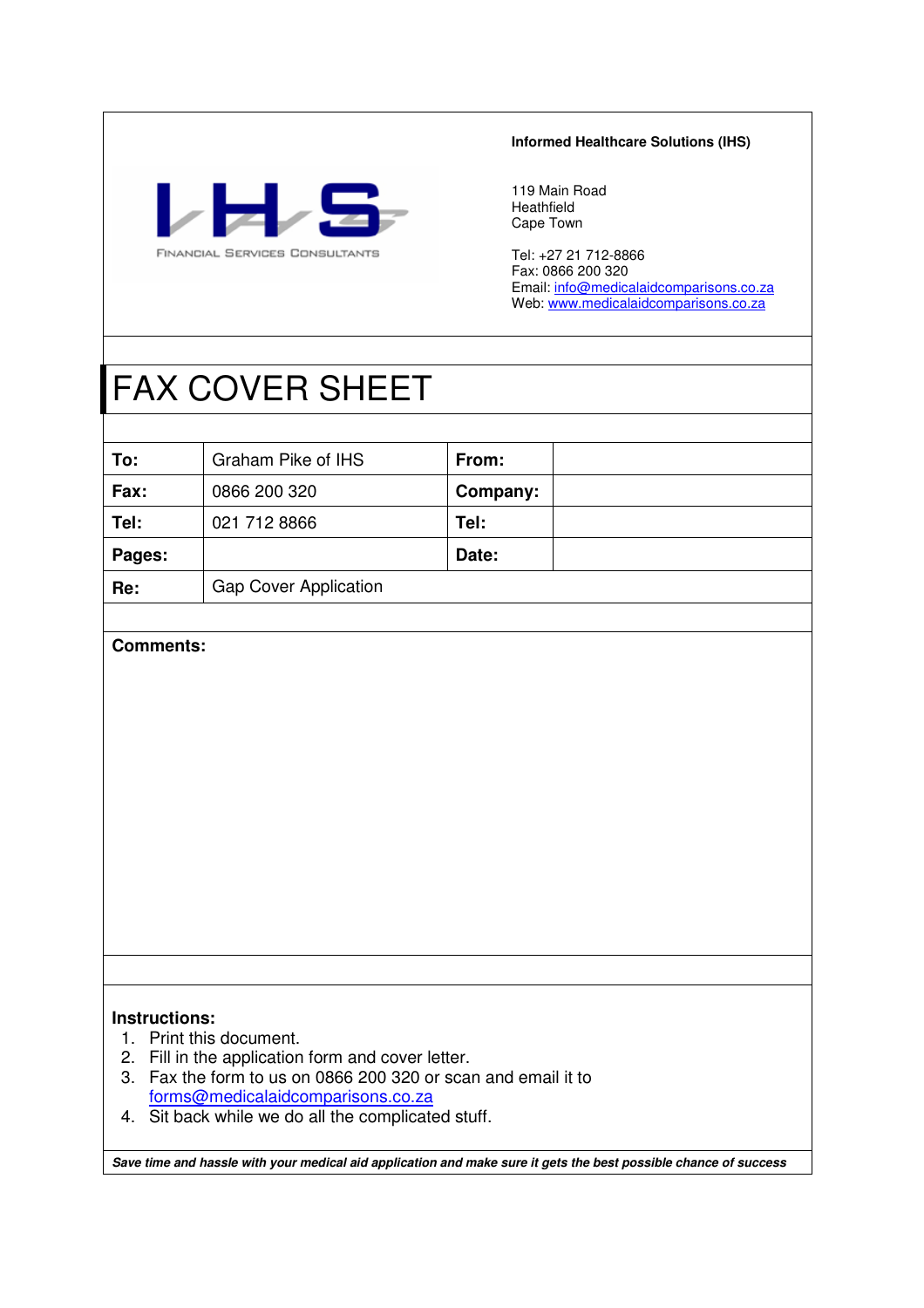

### **Informed Healthcare Solutions (IHS)**

119 Main Road Heathfield Cape Town

Tel: +27 21 712-8866 Fax: 0866 200 320 Email: info@medicalaidcomparisons.co.za Web: www.medicalaidcomparisons.co.za

# FAX COVER SHEET

| To:    | Graham Pike of IHS           | From:    |  |
|--------|------------------------------|----------|--|
| Fax:   | 0866 200 320                 | Company: |  |
| Tel:   | 021 712 8866                 | Tel:     |  |
| Pages: |                              | Date:    |  |
| Re:    | <b>Gap Cover Application</b> |          |  |

## **Comments:**

## **Instructions:**

- 1. Print this document.
- 2. Fill in the application form and cover letter.
- 3. Fax the form to us on 0866 200 320 or scan and email it to forms@medicalaidcomparisons.co.za
- 4. Sit back while we do all the complicated stuff.

**Save time and hassle with your medical aid application and make sure it gets the best possible chance of success**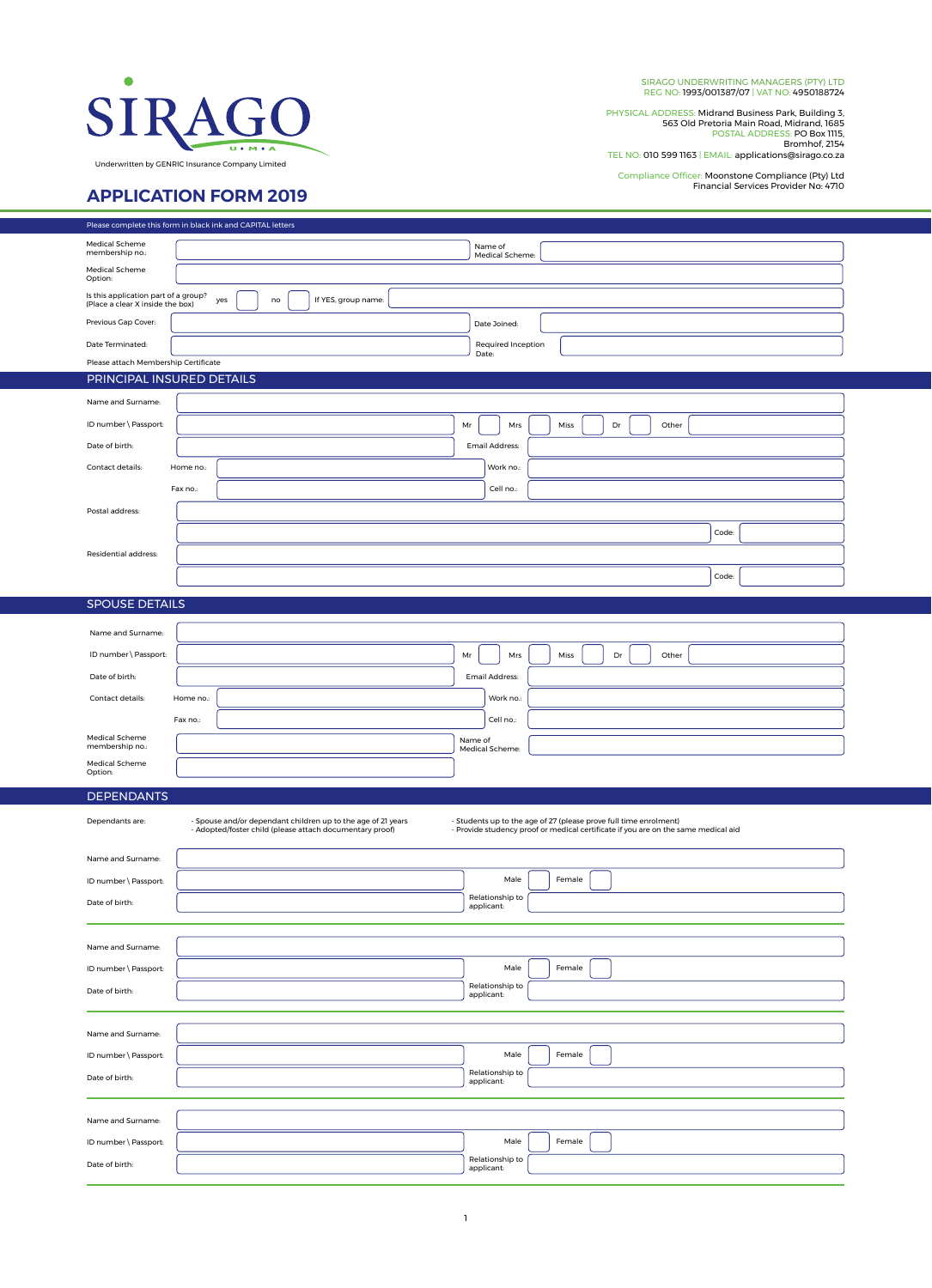

SIRAGO UNDERWRITING MANAGERS (PTY) LTD REG NO: 1993/001387/07 | VAT NO: 4950188724

PHYSICAL ADDRESS: Midrand Business Park, Building 3,<br>563 Old Pretoria Main Road, Midrand, 1685<br>POSTAL ADDRESS: PO Box 1115,<br>TEL NO: 010 599 1163 | EMAIL: applications@sirago.co.za

Compliance Officer: Moonstone Compliance (Pty) Ltd Financial Services Provider No: 4710

## **APPLICATION FORM 2019**

|                                                         | Please complete this form in black ink and CAPITAL letters                                                                                                                                                                                                                          |  |  |
|---------------------------------------------------------|-------------------------------------------------------------------------------------------------------------------------------------------------------------------------------------------------------------------------------------------------------------------------------------|--|--|
| Medical Scheme<br>membership no.:                       | Name of<br>Medical Scheme:                                                                                                                                                                                                                                                          |  |  |
| Medical Scheme<br>Option:                               |                                                                                                                                                                                                                                                                                     |  |  |
| Is this application part of a group?                    | yes<br>If YES, group name:<br>no                                                                                                                                                                                                                                                    |  |  |
| (Place a clear X inside the box)<br>Previous Gap Cover: |                                                                                                                                                                                                                                                                                     |  |  |
| Date Terminated:                                        | Date Joined:<br>Required Inception                                                                                                                                                                                                                                                  |  |  |
| Please attach Membership Certificate                    | Date:                                                                                                                                                                                                                                                                               |  |  |
| PRINCIPAL INSURED DETAILS                               |                                                                                                                                                                                                                                                                                     |  |  |
| Name and Surname:                                       |                                                                                                                                                                                                                                                                                     |  |  |
| ID number \ Passport:                                   | Miss<br>Dr<br>Other<br>Mr<br>Mrs                                                                                                                                                                                                                                                    |  |  |
| Date of birth:                                          | Email Address:                                                                                                                                                                                                                                                                      |  |  |
| Contact details:                                        | Work no.:<br>Home no.:                                                                                                                                                                                                                                                              |  |  |
|                                                         | Cell no.:<br>Fax no.:                                                                                                                                                                                                                                                               |  |  |
| Postal address:                                         |                                                                                                                                                                                                                                                                                     |  |  |
|                                                         | Code:                                                                                                                                                                                                                                                                               |  |  |
| Residential address:                                    |                                                                                                                                                                                                                                                                                     |  |  |
|                                                         | Code:                                                                                                                                                                                                                                                                               |  |  |
| <b>SPOUSE DETAILS</b>                                   |                                                                                                                                                                                                                                                                                     |  |  |
|                                                         |                                                                                                                                                                                                                                                                                     |  |  |
| Name and Surname:                                       | Miss<br>Dr                                                                                                                                                                                                                                                                          |  |  |
| ID number \ Passport:<br>Date of birth:                 | Mr<br>Mrs<br>Other                                                                                                                                                                                                                                                                  |  |  |
| Contact details:                                        | Email Address:<br>Home no.:<br>Work no.:                                                                                                                                                                                                                                            |  |  |
|                                                         | Cell no.:<br>Fax no.:                                                                                                                                                                                                                                                               |  |  |
| Medical Scheme                                          | Name of                                                                                                                                                                                                                                                                             |  |  |
| membership no.:<br>Medical Scheme                       | Medical Scheme:                                                                                                                                                                                                                                                                     |  |  |
| Option:                                                 |                                                                                                                                                                                                                                                                                     |  |  |
| <b>DEPENDANTS</b>                                       |                                                                                                                                                                                                                                                                                     |  |  |
| Dependants are:                                         | - Students up to the age of 27 (please prove full time enrolment)<br>- Spouse and/or dependant children up to the age of 21 years<br>- Adopted/foster child (please attach documentary proof)<br>- Provide studency proof or medical certificate if you are on the same medical aid |  |  |
|                                                         |                                                                                                                                                                                                                                                                                     |  |  |
| Name and Surname:                                       |                                                                                                                                                                                                                                                                                     |  |  |
| ID number \ Passport:                                   | Male<br>Female<br>Relationship to                                                                                                                                                                                                                                                   |  |  |
| Date of birth:                                          | applicant:                                                                                                                                                                                                                                                                          |  |  |
|                                                         |                                                                                                                                                                                                                                                                                     |  |  |
| Name and Surname:                                       |                                                                                                                                                                                                                                                                                     |  |  |
| ID number \ Passport:                                   | Male<br>Female<br>Relationship to                                                                                                                                                                                                                                                   |  |  |
| Date of birth:                                          | applicant:                                                                                                                                                                                                                                                                          |  |  |
|                                                         |                                                                                                                                                                                                                                                                                     |  |  |
| Name and Surname:                                       |                                                                                                                                                                                                                                                                                     |  |  |
| ID number \ Passport:                                   | Male<br>Female<br>Relationship to                                                                                                                                                                                                                                                   |  |  |
| Date of birth:                                          | applicant:                                                                                                                                                                                                                                                                          |  |  |
|                                                         |                                                                                                                                                                                                                                                                                     |  |  |
| Name and Surname:<br>ID number \ Passport:              | Male<br>Female                                                                                                                                                                                                                                                                      |  |  |
| Date of birth:                                          | Relationship to                                                                                                                                                                                                                                                                     |  |  |
|                                                         | applicant:                                                                                                                                                                                                                                                                          |  |  |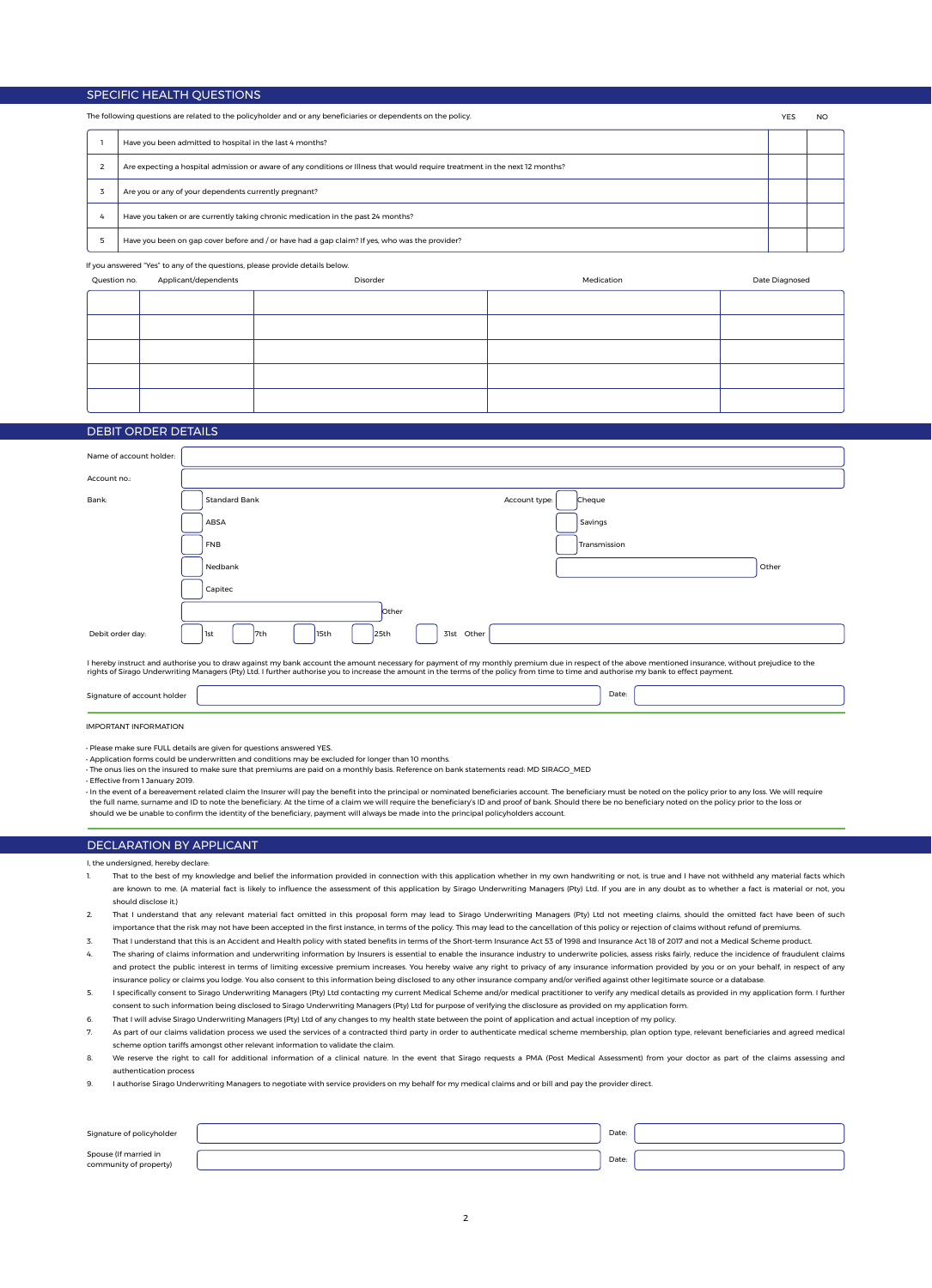#### SPECIFIC HEALTH QUESTIONS

| The following questions are related to the policyholder and or any beneficiaries or dependents on the policy. |  | YFS                                                                                                                          |  |  |
|---------------------------------------------------------------------------------------------------------------|--|------------------------------------------------------------------------------------------------------------------------------|--|--|
|                                                                                                               |  | Have you been admitted to hospital in the last 4 months?                                                                     |  |  |
|                                                                                                               |  | Are expecting a hospital admission or aware of any conditions or Illness that would require treatment in the next 12 months? |  |  |
|                                                                                                               |  | Are you or any of your dependents currently pregnant?                                                                        |  |  |
|                                                                                                               |  | Have you taken or are currently taking chronic medication in the past 24 months?                                             |  |  |
|                                                                                                               |  | Have you been on gap cover before and / or have had a gap claim? If yes, who was the provider?                               |  |  |

If you answered "Yes" to any of the questions, please provide details below.

| Question no. | Applicant/dependents | Disorder | Medication | Date Diagnosed |
|--------------|----------------------|----------|------------|----------------|
|              |                      |          |            |                |
|              |                      |          |            |                |
|              |                      |          |            |                |
|              |                      |          |            |                |
|              |                      |          |            |                |
|              |                      |          |            |                |

#### DEBIT ORDER DETAILS

| Name of account holder:     |                                                                                                                                                                                                                                                                                                                                                                                                |       |
|-----------------------------|------------------------------------------------------------------------------------------------------------------------------------------------------------------------------------------------------------------------------------------------------------------------------------------------------------------------------------------------------------------------------------------------|-------|
| Account no.:                |                                                                                                                                                                                                                                                                                                                                                                                                |       |
| Bank:                       | <b>Standard Bank</b><br>Cheque<br>Account type:                                                                                                                                                                                                                                                                                                                                                |       |
|                             | Savings<br>ABSA                                                                                                                                                                                                                                                                                                                                                                                |       |
|                             | Transmission<br><b>FNB</b>                                                                                                                                                                                                                                                                                                                                                                     |       |
|                             | Nedbank                                                                                                                                                                                                                                                                                                                                                                                        | Other |
|                             | Capitec                                                                                                                                                                                                                                                                                                                                                                                        |       |
|                             | Other                                                                                                                                                                                                                                                                                                                                                                                          |       |
| Debit order day:            | 15th<br>25th<br>Other<br>l7th<br>31st<br>1st                                                                                                                                                                                                                                                                                                                                                   |       |
|                             | I hereby instruct and authorise you to draw against my bank account the amount necessary for payment of my monthly premium due in respect of the above mentioned insurance, without prejudice to the<br>rights of Sirago Underwriting Managers (Pty) Ltd. I further authorise you to increase the amount in the terms of the policy from time to time and authorise my bank to effect payment. |       |
| Signature of account holder | Date:                                                                                                                                                                                                                                                                                                                                                                                          |       |

IMPORTANT INFORMATION

• Please make sure FULL details are given for questions answered YES.

• Application forms could be underwritten and conditions may be excluded for longer than 10 months.

• The onus lies on the insured to make sure that premiums are paid on a monthly basis. Reference on bank statements read: MD SIRAGO\_MED • Effective from 1 January 2019.

• In the event of a bereavement related claim the Insurer will pay the benefit into the principal or nominated beneficiaries account. The beneficiary must be noted on the policy prior to any loss. We will require the full name, surname and ID to note the beneficiary. At the time of a claim we will require the beneficiary's ID and proof of bank. Should there be no beneficiary noted on the policy prior to the loss or should we be unable to confirm the identity of the beneficiary, payment will always be made into the principal policyholders account.

#### DECLARATION BY APPLICANT

I, the undersigned, hereby declare:

- 1. That to the best of my knowledge and belief the information provided in connection with this application whether in my own handwriting or not, is true and I have not withheld any material facts which are known to me. (A material fact is likely to influence the assessment of this application by Sirago Underwriting Managers (Pty) Ltd. If you are in any doubt as to whether a fact is material or not, you should disclose it.)
- 2. That I understand that any relevant material fact omitted in this proposal form may lead to Sirago Underwriting Managers (Pty) Ltd not meeting claims, should the omitted fact have been of such importance that the risk may not have been accepted in the first instance, in terms of the policy. This may lead to the cancellation of this policy or rejection of claims without refund of premiums.
- 3. That I understand that this is an Accident and Health policy with stated benefits in terms of the Short-term Insurance Act 53 of 1998 and Insurance Act 18 of 2017 and not a Medical Scheme product.
- The sharing of claims information and underwriting information by Insurers is essential to enable the insurance industry to underwrite policies, assess risks fairly, reduce the incidence of fraudulent claims and protect the public interest in terms of limiting excessive premium increases. You hereby waive any right to privacy of any insurance information provided by you or on your behalf, in respect of any insurance policy or claims you lodge. You also consent to this information being disclosed to any other insurance company and/or verified against other legitimate source or a database.
- 5. I specifically consent to Sirago Underwriting Managers (Pty) Ltd contacting my current Medical Scheme and/or medical practitioner to verify any medical details as provided in my application form. I further consent to such information being disclosed to Sirago Underwriting Managers (Pty) Ltd for purpose of verifying the disclosure as provided on my application form.
- 6. That I will advise Sirago Underwriting Managers (Pty) Ltd of any changes to my health state between the point of application and actual inception of my policy.
- 7. As part of our claims validation process we used the services of a contracted third party in order to authenticate medical scheme membership, plan option type, relevant beneficiaries and agreed medical scheme option tariffs amongst other relevant information to validate the claim.
- 8. We reserve the right to call for additional information of a clinical nature. In the event that Sirago requests a PMA (Post Medical Assessment) from your doctor as part of the claims assessing and authentication process
- 9. I authorise Sirago Underwriting Managers to negotiate with service providers on my behalf for my medical claims and or bill and pay the provider direct.

| Signature of policyholder                       | Date: |  |
|-------------------------------------------------|-------|--|
| Spouse (If married in<br>community of property) | Date: |  |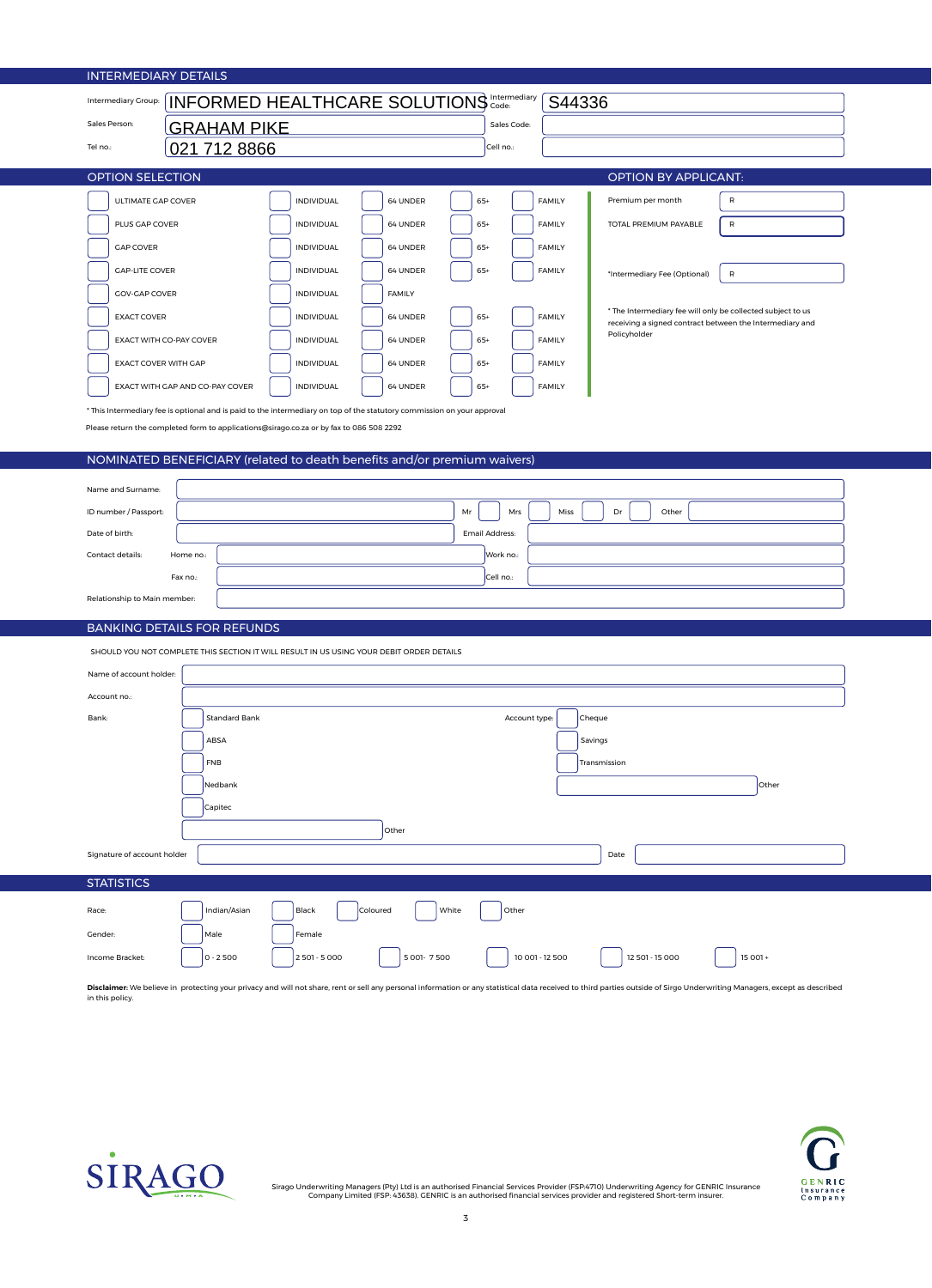| <b>INTERMEDIARY DETAILS</b>                                                             |                                                                                                                         |                        |                                                                                                                         |  |  |  |
|-----------------------------------------------------------------------------------------|-------------------------------------------------------------------------------------------------------------------------|------------------------|-------------------------------------------------------------------------------------------------------------------------|--|--|--|
| <b>INFORMED HEALTHCARE SOLUTIONS</b> Intermediary<br>S44336<br>Intermediary Group:      |                                                                                                                         |                        |                                                                                                                         |  |  |  |
| Sales Person:                                                                           | Sales Code:<br><b>GRAHAM PIKE</b>                                                                                       |                        |                                                                                                                         |  |  |  |
| 021 712 8866<br>Tel no.:                                                                |                                                                                                                         | Cell no.:              |                                                                                                                         |  |  |  |
| <b>OPTION SELECTION</b>                                                                 |                                                                                                                         |                        | <b>OPTION BY APPLICANT:</b>                                                                                             |  |  |  |
| ULTIMATE GAP COVER                                                                      | <b>INDIVIDUAL</b><br>64 UNDER                                                                                           | $65+$<br><b>FAMILY</b> | Premium per month<br>$\mathsf{R}$                                                                                       |  |  |  |
| PLUS GAP COVER                                                                          | <b>INDIVIDUAL</b><br>64 UNDER                                                                                           | $65+$<br><b>FAMILY</b> | TOTAL PREMIUM PAYABLE<br>$\sf R$                                                                                        |  |  |  |
| <b>GAP COVER</b>                                                                        | <b>INDIVIDUAL</b><br>64 UNDER                                                                                           | <b>FAMILY</b><br>$65+$ |                                                                                                                         |  |  |  |
| <b>GAP-LITE COVER</b>                                                                   | <b>INDIVIDUAL</b><br>64 UNDER                                                                                           | $65+$<br><b>FAMILY</b> | $\sf R$<br>*Intermediary Fee (Optional)                                                                                 |  |  |  |
| <b>GOV-GAP COVER</b>                                                                    | <b>INDIVIDUAL</b><br><b>FAMILY</b>                                                                                      |                        |                                                                                                                         |  |  |  |
| <b>EXACT COVER</b>                                                                      | <b>INDIVIDUAL</b><br>64 UNDER                                                                                           | $65+$<br><b>FAMILY</b> | * The Intermediary fee will only be collected subject to us<br>receiving a signed contract between the Intermediary and |  |  |  |
| EXACT WITH CO-PAY COVER                                                                 | <b>INDIVIDUAL</b><br>64 UNDER                                                                                           | $65+$<br><b>FAMILY</b> | Policyholder                                                                                                            |  |  |  |
| EXACT COVER WITH GAP                                                                    | <b>INDIVIDUAL</b><br>64 UNDER                                                                                           | $65+$<br><b>FAMILY</b> |                                                                                                                         |  |  |  |
| EXACT WITH GAP AND CO-PAY COVER                                                         | <b>INDIVIDUAL</b><br>64 UNDER                                                                                           | $65+$<br><b>FAMILY</b> |                                                                                                                         |  |  |  |
|                                                                                         | * This Intermediary fee is optional and is paid to the intermediary on top of the statutory commission on your approval |                        |                                                                                                                         |  |  |  |
| Please return the completed form to applications@sirago.co.za or by fax to 086 508 2292 |                                                                                                                         |                        |                                                                                                                         |  |  |  |
|                                                                                         | NOMINATED BENEFICIARY (related to death benefits and/or premium waivers)                                                |                        |                                                                                                                         |  |  |  |
|                                                                                         |                                                                                                                         |                        |                                                                                                                         |  |  |  |
| Name and Surname:                                                                       |                                                                                                                         |                        |                                                                                                                         |  |  |  |
| ID number / Passport:                                                                   |                                                                                                                         | Mr<br>Mrs<br>Miss      | Dr<br>Other                                                                                                             |  |  |  |
| Date of birth:                                                                          |                                                                                                                         | Email Address:         |                                                                                                                         |  |  |  |
| Contact details:<br>Home no.:                                                           |                                                                                                                         | Work no.:              |                                                                                                                         |  |  |  |
| Fax no.:                                                                                |                                                                                                                         | Cell no.:              |                                                                                                                         |  |  |  |
| Relationship to Main member:                                                            |                                                                                                                         |                        |                                                                                                                         |  |  |  |
| <b>BANKING DETAILS FOR REFUNDS</b>                                                      |                                                                                                                         |                        |                                                                                                                         |  |  |  |
|                                                                                         | SHOULD YOU NOT COMPLETE THIS SECTION IT WILL RESULT IN US USING YOUR DEBIT ORDER DETAILS                                |                        |                                                                                                                         |  |  |  |
| Name of account holder:                                                                 |                                                                                                                         |                        |                                                                                                                         |  |  |  |
| Account no.:                                                                            |                                                                                                                         |                        |                                                                                                                         |  |  |  |
| Bank:<br>Standard Bank                                                                  |                                                                                                                         | Account type:          | Cheque                                                                                                                  |  |  |  |
| ABSA                                                                                    |                                                                                                                         |                        | Savings                                                                                                                 |  |  |  |
| <b>FNB</b>                                                                              |                                                                                                                         |                        | Transmission                                                                                                            |  |  |  |
| Nedbank                                                                                 |                                                                                                                         |                        | Other                                                                                                                   |  |  |  |
| Capitec                                                                                 |                                                                                                                         |                        |                                                                                                                         |  |  |  |
| Other                                                                                   |                                                                                                                         |                        |                                                                                                                         |  |  |  |
| Signature of account holder<br>Date                                                     |                                                                                                                         |                        |                                                                                                                         |  |  |  |
| <b>STATISTICS</b>                                                                       |                                                                                                                         |                        |                                                                                                                         |  |  |  |
| Indian/Asian<br>Race:                                                                   | Black<br>Coloured                                                                                                       | White<br>Other         |                                                                                                                         |  |  |  |
| Gender:<br>Male<br>Female                                                               |                                                                                                                         |                        |                                                                                                                         |  |  |  |
| Income Bracket:<br>$0 - 2500$                                                           | 5 001-7 500<br>2 501 - 5 000                                                                                            | 10 001 - 12 500        | 12 501 - 15 000<br>15 001 +                                                                                             |  |  |  |

**Disclaimer**: We believe in protecting your privacy and will not share, rent or sell any personal information or any statistical data received to third parties outside of Sirgo Underwriting Managers, except as described<br>in



Sirago Underwriting Managers (Pty) Ltd is an authorised Financial Services Provider (FSP:4710) Underwriting Agency for GENRIC Insurance<br>Company Limited (FSP: 43638). GENRIC is an authorised financial services provider and

SIRAGO